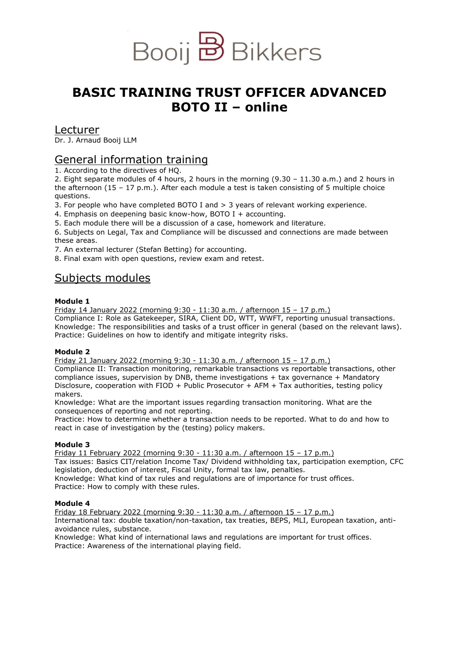

# **BASIC TRAINING TRUST OFFICER ADVANCED BOTO II – online**

# Lecturer

Dr. J. Arnaud Booij LLM

# General information training

1. According to the directives of HQ.

2. Eight separate modules of 4 hours, 2 hours in the morning (9.30 – 11.30 a.m.) and 2 hours in the afternoon  $(15 - 17)$  p.m.). After each module a test is taken consisting of 5 multiple choice questions.

3. For people who have completed BOTO I and > 3 years of relevant working experience.

4. Emphasis on deepening basic know-how, BOTO I + accounting.

5. Each module there will be a discussion of a case, homework and literature.

6. Subjects on Legal, Tax and Compliance will be discussed and connections are made between these areas.

7. An external lecturer (Stefan Betting) for accounting.

8. Final exam with open questions, review exam and retest.

# Subjects modules

# **Module 1**

Friday 14 January 2022 (morning 9:30 - 11:30 a.m. / afternoon 15 – 17 p.m.) Compliance I: Role as Gatekeeper, SIRA, Client DD, WTT, WWFT, reporting unusual transactions. Knowledge: The responsibilities and tasks of a trust officer in general (based on the relevant laws). Practice: Guidelines on how to identify and mitigate integrity risks.

# **Module 2**

Friday 21 January 2022 (morning 9:30 - 11:30 a.m. / afternoon 15 – 17 p.m.)

Compliance II: Transaction monitoring, remarkable transactions vs reportable transactions, other compliance issues, supervision by DNB, theme investigations  $+$  tax governance  $+$  Mandatory Disclosure, cooperation with FIOD + Public Prosecutor + AFM + Tax authorities, testing policy makers.

Knowledge: What are the important issues regarding transaction monitoring. What are the consequences of reporting and not reporting.

Practice: How to determine whether a transaction needs to be reported. What to do and how to react in case of investigation by the (testing) policy makers.

# **Module 3**

Friday 11 February 2022 (morning 9:30 - 11:30 a.m. / afternoon 15 – 17 p.m.) Tax issues: Basics CIT/relation Income Tax/ Dividend withholding tax, participation exemption, CFC legislation, deduction of interest, Fiscal Unity, formal tax law, penalties. Knowledge: What kind of tax rules and regulations are of importance for trust offices. Practice: How to comply with these rules.

# **Module 4**

Friday 18 February 2022 (morning 9:30 - 11:30 a.m. / afternoon 15 – 17 p.m.) International tax: double taxation/non-taxation, tax treaties, BEPS, MLI, European taxation, antiavoidance rules, substance.

Knowledge: What kind of international laws and regulations are important for trust offices. Practice: Awareness of the international playing field.